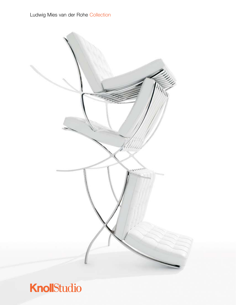

## KnollStudio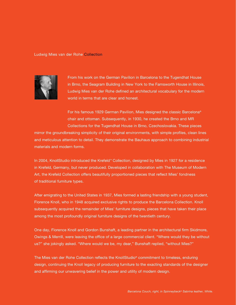Ludwig Mies van der Rohe Collection



From his work on the German Pavilion in Barcelona to the Tugendhat House in Brno, the Seagram Building in New York to the Farnsworth House in Illinois, Ludwig Mies van der Rohe defined an architectural vocabulary for the modern world in terms that are clear and honest.

For his famous 1929 German Pavilion, Mies designed the classic Barcelona® chair and ottoman. Subsequently, in 1930, he created the Brno and MR Collections for the Tugendhat House in Brno, Czechoslovakia. These pieces

mirror the groundbreaking simplicity of their original environments, with simple profiles, clean lines and meticulous attention to detail. They demonstrate the Bauhaus approach to combining industrial materials and modern forms.

In 2004, KnollStudio introduced the Krefeld™ Collection, designed by Mies in 1927 for a residence in Krefeld, Germany, but never produced. Developed in collaboration with The Museum of Modern Art, the Krefeld Collection offers beautifully proportioned pieces that reflect Mies' fondness of traditional furniture types.

After emigrating to the United States in 1937, Mies formed a lasting friendship with a young student, Florence Knoll, who in 1948 acquired exclusive rights to produce the Barcelona Collection. Knoll subsequently acquired the remainder of Mies' furniture designs, pieces that have taken their place among the most profoundly original furniture designs of the twentieth century.

One day, Florence Knoll and Gordon Bunshaft, a leading partner in the architectural firm Skidmore, Owings & Merrill, were leaving the office of a large commercial client. "Where would they be without us?" she jokingly asked. "Where would we be, my dear," Bunshaft replied, "without Mies?"

The Mies van der Rohe Collection reflects the KnollStudio® commitment to timeless, enduring design, continuing the Knoll legacy of producing furniture to the exacting standards of the designer and affirming our unwavering belief in the power and utility of modern design.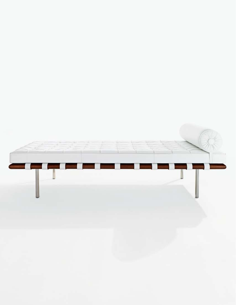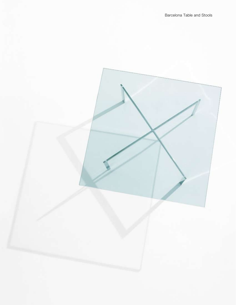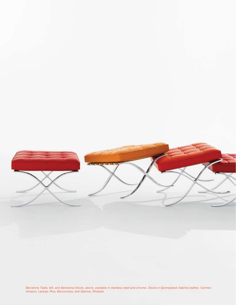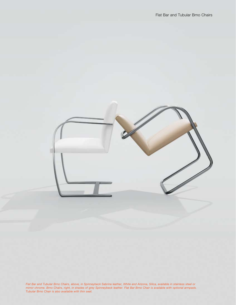

*Flat Bar and Tubular Brno Chairs, above, in Spinneybeck Sabrina leather, White and Arizona, Silica, available in stainless steel or mirror chrome. Brno Chairs, right, in shades of grey Spinneybeck leather. Flat Bar Brno Chair is available with optional armpads. Tubular Brno Chair is also available with thin seat.*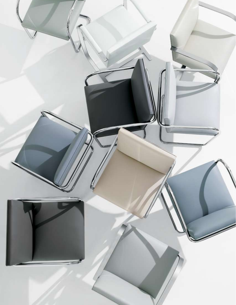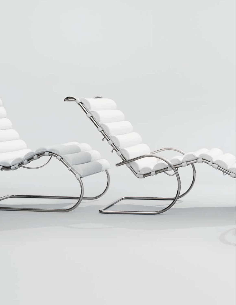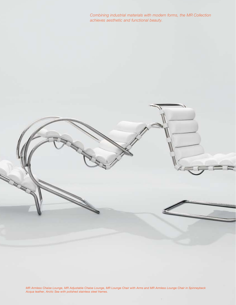*Combining industrial materials with modern forms, the MR Collection achieves aesthetic and functional beauty.*



×.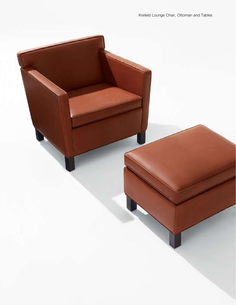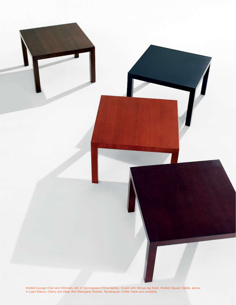*Krefeld Lounge Chair and Ottoman, left, in Spinneybeck Prima leather, Vivaldi with Wengé leg finish. Krefeld Square Tables, above, in Light Walnut, Cherry and Deep Red Mahogany finishes. Rectangular Coffee Table also available.*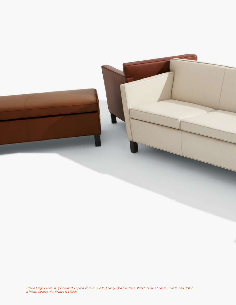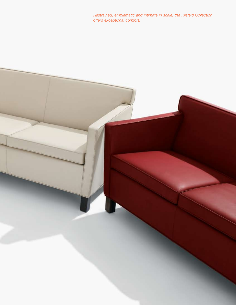*Restrained, emblematic and intimate in scale, the Krefeld Collection offers exceptional comfort.*

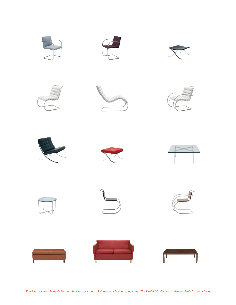



























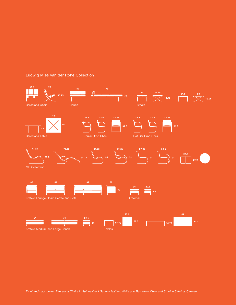

## Ludwig Mies van der Rohe Collection

*Front and back cover: Barcelona Chairs in Spinneybeck Sabrina leather, White and Barcelona Chair and Stool in Sabrina, Carmen.*